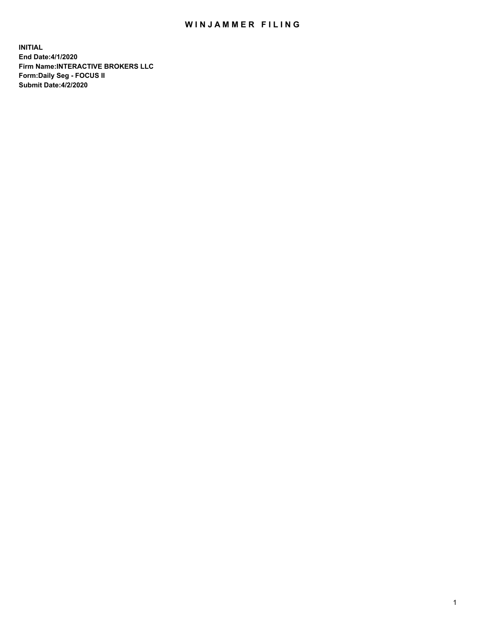## WIN JAMMER FILING

**INITIAL End Date:4/1/2020 Firm Name:INTERACTIVE BROKERS LLC Form:Daily Seg - FOCUS II Submit Date:4/2/2020**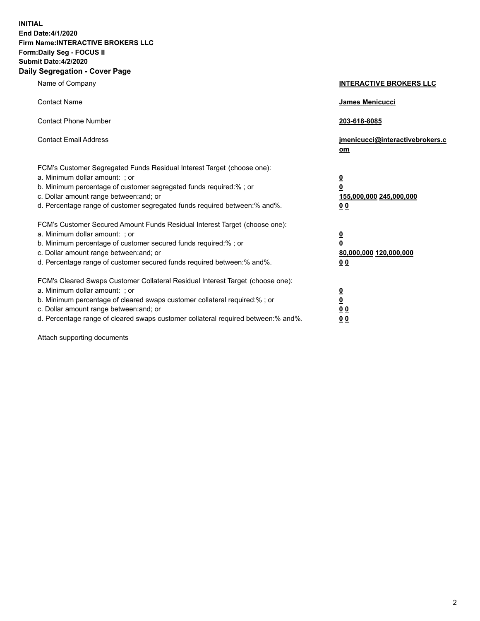**INITIAL End Date:4/1/2020 Firm Name:INTERACTIVE BROKERS LLC Form:Daily Seg - FOCUS II Submit Date:4/2/2020 Daily Segregation - Cover Page**

| Name of Company                                                                                                                                                                                                                                                                                                                | <b>INTERACTIVE BROKERS LLC</b>                                                      |
|--------------------------------------------------------------------------------------------------------------------------------------------------------------------------------------------------------------------------------------------------------------------------------------------------------------------------------|-------------------------------------------------------------------------------------|
| <b>Contact Name</b>                                                                                                                                                                                                                                                                                                            | James Menicucci                                                                     |
| <b>Contact Phone Number</b>                                                                                                                                                                                                                                                                                                    | 203-618-8085                                                                        |
| <b>Contact Email Address</b>                                                                                                                                                                                                                                                                                                   | jmenicucci@interactivebrokers.c<br>om                                               |
| FCM's Customer Segregated Funds Residual Interest Target (choose one):<br>a. Minimum dollar amount: ; or<br>b. Minimum percentage of customer segregated funds required:% ; or<br>c. Dollar amount range between: and; or<br>d. Percentage range of customer segregated funds required between:% and%.                         | $\overline{\mathbf{0}}$<br>$\overline{\mathbf{0}}$<br>155,000,000 245,000,000<br>00 |
| FCM's Customer Secured Amount Funds Residual Interest Target (choose one):<br>a. Minimum dollar amount: ; or<br>b. Minimum percentage of customer secured funds required:%; or<br>c. Dollar amount range between: and; or<br>d. Percentage range of customer secured funds required between:% and%.                            | $\overline{\mathbf{0}}$<br>$\pmb{0}$<br>80,000,000 120,000,000<br>00                |
| FCM's Cleared Swaps Customer Collateral Residual Interest Target (choose one):<br>a. Minimum dollar amount: ; or<br>b. Minimum percentage of cleared swaps customer collateral required:% ; or<br>c. Dollar amount range between: and; or<br>d. Percentage range of cleared swaps customer collateral required between:% and%. | $\overline{\mathbf{0}}$<br>$\underline{\mathbf{0}}$<br>0 <sub>0</sub><br>00         |

Attach supporting documents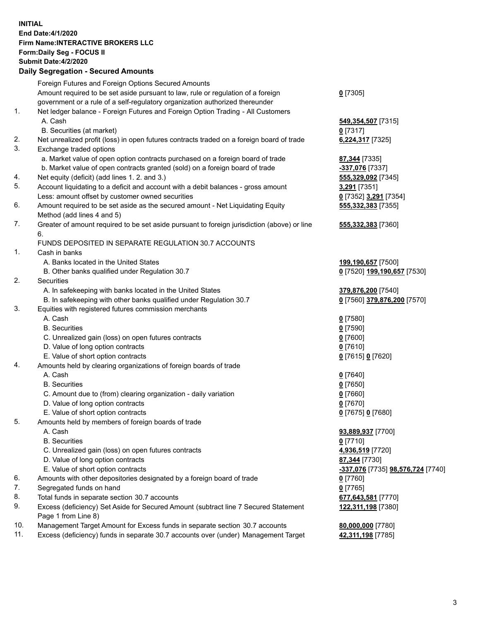## **INITIAL End Date:4/1/2020 Firm Name:INTERACTIVE BROKERS LLC Form:Daily Seg - FOCUS II Submit Date:4/2/2020 Daily Segregation - Secured Amounts**

|                | Daily Ocglegation - Occuled Anioants                                                        |                                   |
|----------------|---------------------------------------------------------------------------------------------|-----------------------------------|
|                | Foreign Futures and Foreign Options Secured Amounts                                         |                                   |
|                | Amount required to be set aside pursuant to law, rule or regulation of a foreign            | $0$ [7305]                        |
|                | government or a rule of a self-regulatory organization authorized thereunder                |                                   |
| 1.             | Net ledger balance - Foreign Futures and Foreign Option Trading - All Customers             |                                   |
|                | A. Cash                                                                                     | 549,354,507 [7315]                |
|                | B. Securities (at market)                                                                   | $0$ [7317]                        |
| 2.             | Net unrealized profit (loss) in open futures contracts traded on a foreign board of trade   | 6,224,317 [7325]                  |
| 3.             | Exchange traded options                                                                     |                                   |
|                | a. Market value of open option contracts purchased on a foreign board of trade              | 87,344 [7335]                     |
|                | b. Market value of open contracts granted (sold) on a foreign board of trade                | -337,076 [7337]                   |
| 4.             | Net equity (deficit) (add lines 1. 2. and 3.)                                               | 555,329,092 [7345]                |
| 5.             | Account liquidating to a deficit and account with a debit balances - gross amount           | 3,291 [7351]                      |
|                | Less: amount offset by customer owned securities                                            | 0 [7352] 3,291 [7354]             |
| 6.             | Amount required to be set aside as the secured amount - Net Liquidating Equity              | 555,332,383 [7355]                |
|                | Method (add lines 4 and 5)                                                                  |                                   |
| 7.             | Greater of amount required to be set aside pursuant to foreign jurisdiction (above) or line | 555,332,383 [7360]                |
|                | 6.                                                                                          |                                   |
|                | FUNDS DEPOSITED IN SEPARATE REGULATION 30.7 ACCOUNTS                                        |                                   |
| $\mathbf{1}$ . | Cash in banks                                                                               |                                   |
|                | A. Banks located in the United States                                                       | 199,190,657 [7500]                |
|                | B. Other banks qualified under Regulation 30.7                                              | 0 [7520] 199,190,657 [7530]       |
| 2.             | <b>Securities</b>                                                                           |                                   |
|                | A. In safekeeping with banks located in the United States                                   | 379,876,200 [7540]                |
|                | B. In safekeeping with other banks qualified under Regulation 30.7                          | 0 [7560] 379,876,200 [7570]       |
| 3.             | Equities with registered futures commission merchants                                       |                                   |
|                | A. Cash                                                                                     | $0$ [7580]                        |
|                | <b>B.</b> Securities                                                                        | $0$ [7590]                        |
|                | C. Unrealized gain (loss) on open futures contracts                                         | $0$ [7600]                        |
|                | D. Value of long option contracts                                                           | $0$ [7610]                        |
|                | E. Value of short option contracts                                                          | 0 [7615] 0 [7620]                 |
| 4.             | Amounts held by clearing organizations of foreign boards of trade                           |                                   |
|                | A. Cash                                                                                     | $0$ [7640]                        |
|                | <b>B.</b> Securities                                                                        | $0$ [7650]                        |
|                | C. Amount due to (from) clearing organization - daily variation                             | $0$ [7660]                        |
|                | D. Value of long option contracts                                                           | $0$ [7670]                        |
|                | E. Value of short option contracts                                                          | 0 [7675] 0 [7680]                 |
| 5.             | Amounts held by members of foreign boards of trade                                          |                                   |
|                | A. Cash                                                                                     | 93,889,937 [7700]                 |
|                | <b>B.</b> Securities                                                                        | $0$ [7710]                        |
|                | C. Unrealized gain (loss) on open futures contracts                                         | 4,936,519 [7720]                  |
|                | D. Value of long option contracts                                                           | 87,344 [7730]                     |
|                | E. Value of short option contracts                                                          | -337,076 [7735] 98,576,724 [7740] |
| 6.             | Amounts with other depositories designated by a foreign board of trade                      | 0 [7760]                          |
| 7.             | Segregated funds on hand                                                                    | $0$ [7765]                        |
| 8.             | Total funds in separate section 30.7 accounts                                               | 677,643,581 [7770]                |
| 9.             | Excess (deficiency) Set Aside for Secured Amount (subtract line 7 Secured Statement         | 122,311,198 [7380]                |
|                | Page 1 from Line 8)                                                                         |                                   |
| 10.            | Management Target Amount for Excess funds in separate section 30.7 accounts                 | 80,000,000 [7780]                 |
| 11.            | Excess (deficiency) funds in separate 30.7 accounts over (under) Management Target          | 42,311,198 [7785]                 |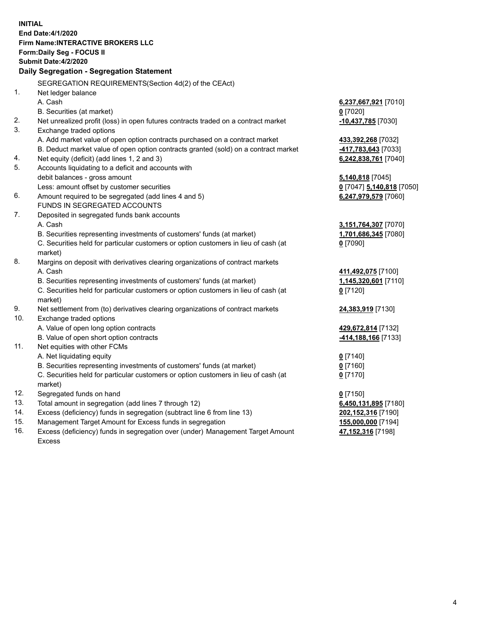**INITIAL End Date:4/1/2020 Firm Name:INTERACTIVE BROKERS LLC Form:Daily Seg - FOCUS II Submit Date:4/2/2020 Daily Segregation - Segregation Statement** SEGREGATION REQUIREMENTS(Section 4d(2) of the CEAct) 1. Net ledger balance A. Cash **6,237,667,921** [7010] B. Securities (at market) **0** [7020] 2. Net unrealized profit (loss) in open futures contracts traded on a contract market **-10,437,785** [7030] 3. Exchange traded options A. Add market value of open option contracts purchased on a contract market **433,392,268** [7032] B. Deduct market value of open option contracts granted (sold) on a contract market **-417,783,643** [7033] 4. Net equity (deficit) (add lines 1, 2 and 3) **6,242,838,761** [7040] 5. Accounts liquidating to a deficit and accounts with debit balances - gross amount **5,140,818** [7045] Less: amount offset by customer securities **0** [7047] **5,140,818** [7050] 6. Amount required to be segregated (add lines 4 and 5) **6,247,979,579** [7060] FUNDS IN SEGREGATED ACCOUNTS 7. Deposited in segregated funds bank accounts A. Cash **3,151,764,307** [7070] B. Securities representing investments of customers' funds (at market) **1,701,686,345** [7080] C. Securities held for particular customers or option customers in lieu of cash (at market) **0** [7090] 8. Margins on deposit with derivatives clearing organizations of contract markets A. Cash **411,492,075** [7100] B. Securities representing investments of customers' funds (at market) **1,145,320,601** [7110] C. Securities held for particular customers or option customers in lieu of cash (at market) **0** [7120] 9. Net settlement from (to) derivatives clearing organizations of contract markets **24,383,919** [7130] 10. Exchange traded options A. Value of open long option contracts **429,672,814** [7132] B. Value of open short option contracts **-414,188,166** [7133] 11. Net equities with other FCMs A. Net liquidating equity **0** [7140] B. Securities representing investments of customers' funds (at market) **0** [7160] C. Securities held for particular customers or option customers in lieu of cash (at market) **0** [7170] 12. Segregated funds on hand **0** [7150] 13. Total amount in segregation (add lines 7 through 12) **6,450,131,895** [7180] 14. Excess (deficiency) funds in segregation (subtract line 6 from line 13) **202,152,316** [7190] 15. Management Target Amount for Excess funds in segregation **155,000,000** [7194] 16. Excess (deficiency) funds in segregation over (under) Management Target Amount **47,152,316** [7198]

Excess